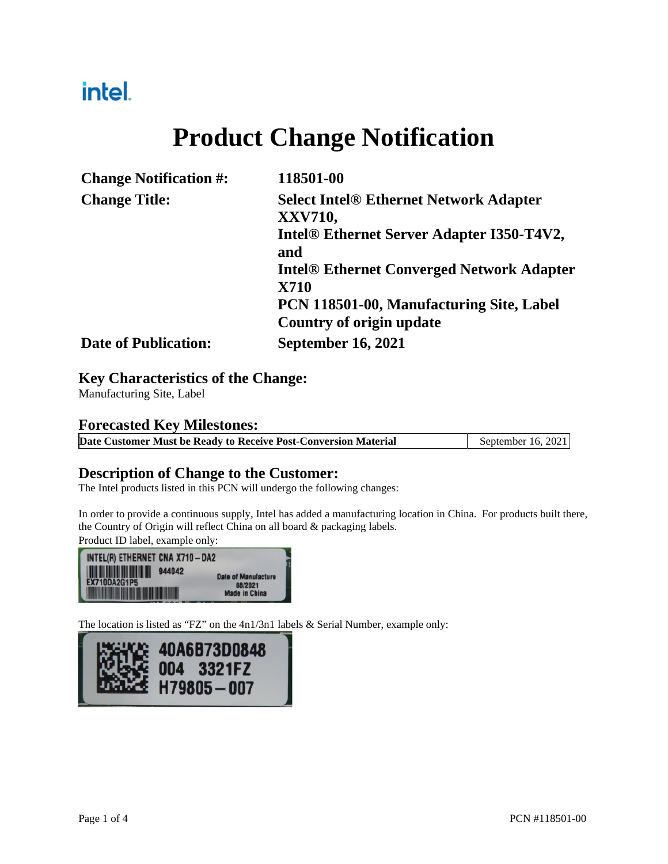## intel.

# **Product Change Notification**

| <b>Change Notification #:</b> | 118501-00                                                       |
|-------------------------------|-----------------------------------------------------------------|
| <b>Change Title:</b>          | <b>Select Intel® Ethernet Network Adapter</b><br><b>XXV710,</b> |
|                               | Intel® Ethernet Server Adapter I350-T4V2,<br>and                |
|                               | <b>Intel® Ethernet Converged Network Adapter</b><br><b>X710</b> |
|                               | PCN 118501-00, Manufacturing Site, Label                        |
|                               | Country of origin update                                        |
| <b>Date of Publication:</b>   | <b>September 16, 2021</b>                                       |

#### **Key Characteristics of the Change:**

Manufacturing Site, Label

#### **Forecasted Key Milestones:**

|  | Date Customer Must be Ready to Receive Post-Conversion Material | September 16, 2021 |
|--|-----------------------------------------------------------------|--------------------|
|  |                                                                 |                    |

#### **Description of Change to the Customer:**

The Intel products listed in this PCN will undergo the following changes:

In order to provide a continuous supply, Intel has added a manufacturing location in China. For products built there, the Country of Origin will reflect China on all board & packaging labels.

Product ID label, example only:



The location is listed as "FZ" on the 4n1/3n1 labels & Serial Number, example only:

| <b>ANTICE 40A6B73D0848</b><br>ALLENE 004 3321FZ<br>DIGNES H79805-007 |
|----------------------------------------------------------------------|
|----------------------------------------------------------------------|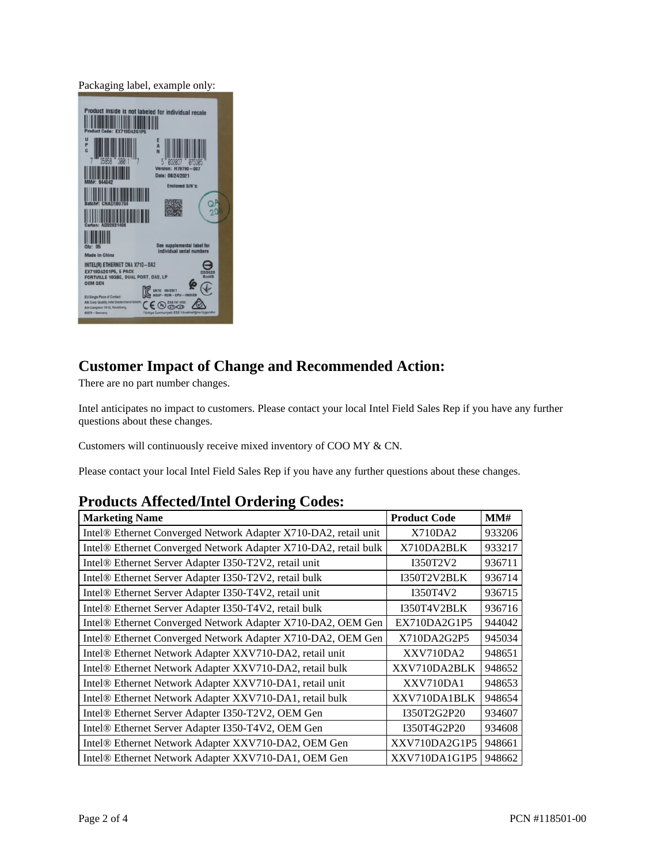Packaging label, example only:

| Product inside is not labeled for individual resale                                                                                                                         |  |
|-----------------------------------------------------------------------------------------------------------------------------------------------------------------------------|--|
| U<br>P<br>A<br>ċ                                                                                                                                                            |  |
| Version:<br>H79790<br>Date: 08/24/2021                                                                                                                                      |  |
| <b>Enclosed S/N's:</b>                                                                                                                                                      |  |
|                                                                                                                                                                             |  |
| See supplemental label for<br><b>Qtv: 05</b><br>individual serial numbers<br>Made in China                                                                                  |  |
| INTEL(R) ETHERNET CNA X710-DA2<br><b>EX710DA2G1P5, 5 PACK</b><br>FORTVILLE 10GBE, DUAL PORT, DA2, LP<br><b>OEM GEN</b><br><b>REM - CPU - H92429</b>                         |  |
| EU Single Place of Contact:<br>Att. Corp Quality, Intel Deutschland GmbH,<br>CE G<br>Am Campeon 10-12, Neubiberg,<br>85579 - Germany<br>Türkiye Cumhuriyeti: EEE Yönetmeliğ |  |

#### **Customer Impact of Change and Recommended Action:**

There are no part number changes.

Intel anticipates no impact to customers. Please contact your local Intel Field Sales Rep if you have any further questions about these changes.

Customers will continuously receive mixed inventory of COO MY & CN.

Please contact your local Intel Field Sales Rep if you have any further questions about these changes.

#### **Products Affected/Intel Ordering Codes:**

| <b>Marketing Name</b>                                           | <b>Product Code</b> | MM#    |
|-----------------------------------------------------------------|---------------------|--------|
| Intel® Ethernet Converged Network Adapter X710-DA2, retail unit | X710DA2             | 933206 |
| Intel® Ethernet Converged Network Adapter X710-DA2, retail bulk | X710DA2BLK          | 933217 |
| Intel® Ethernet Server Adapter I350-T2V2, retail unit           | I350T2V2            | 936711 |
| Intel® Ethernet Server Adapter I350-T2V2, retail bulk           | I350T2V2BLK         | 936714 |
| Intel® Ethernet Server Adapter I350-T4V2, retail unit           | I350T4V2            | 936715 |
| Intel® Ethernet Server Adapter I350-T4V2, retail bulk           | I350T4V2BLK         | 936716 |
| Intel® Ethernet Converged Network Adapter X710-DA2, OEM Gen     | EX710DA2G1P5        | 944042 |
| Intel® Ethernet Converged Network Adapter X710-DA2, OEM Gen     | X710DA2G2P5         | 945034 |
| Intel® Ethernet Network Adapter XXV710-DA2, retail unit         | XXV710DA2           | 948651 |
| Intel® Ethernet Network Adapter XXV710-DA2, retail bulk         | XXV710DA2BLK        | 948652 |
| Intel® Ethernet Network Adapter XXV710-DA1, retail unit         | XXV710DA1           | 948653 |
| Intel® Ethernet Network Adapter XXV710-DA1, retail bulk         | XXV710DA1BLK        | 948654 |
| Intel® Ethernet Server Adapter I350-T2V2, OEM Gen               | I350T2G2P20         | 934607 |
| Intel® Ethernet Server Adapter I350-T4V2, OEM Gen               | I350T4G2P20         | 934608 |
| Intel® Ethernet Network Adapter XXV710-DA2, OEM Gen             | XXV710DA2G1P5       | 948661 |
| Intel® Ethernet Network Adapter XXV710-DA1, OEM Gen             | XXV710DA1G1P5       | 948662 |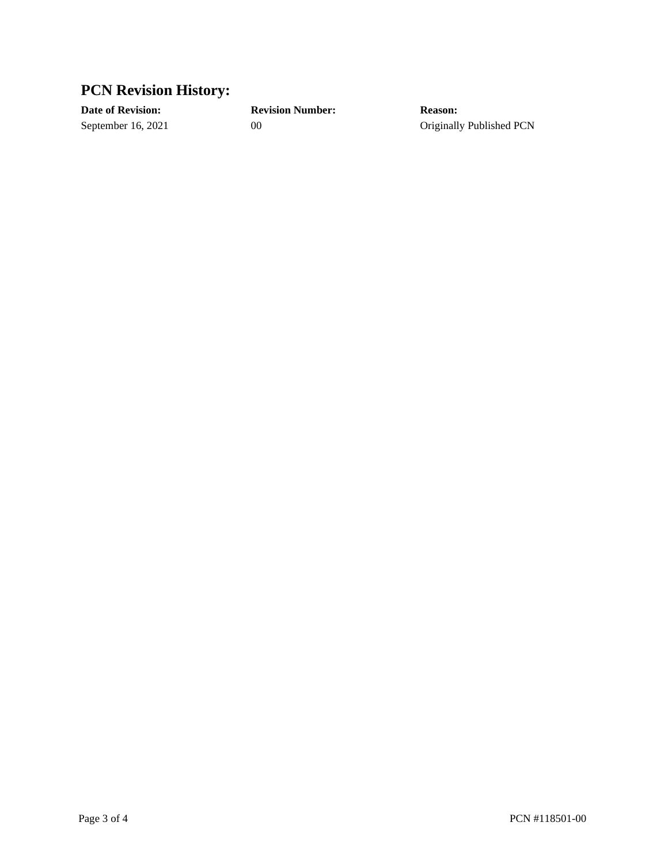### **PCN Revision History:**

**Date of Revision: Revision Number: Reason:**

September 16, 2021 00 00 Originally Published PCN